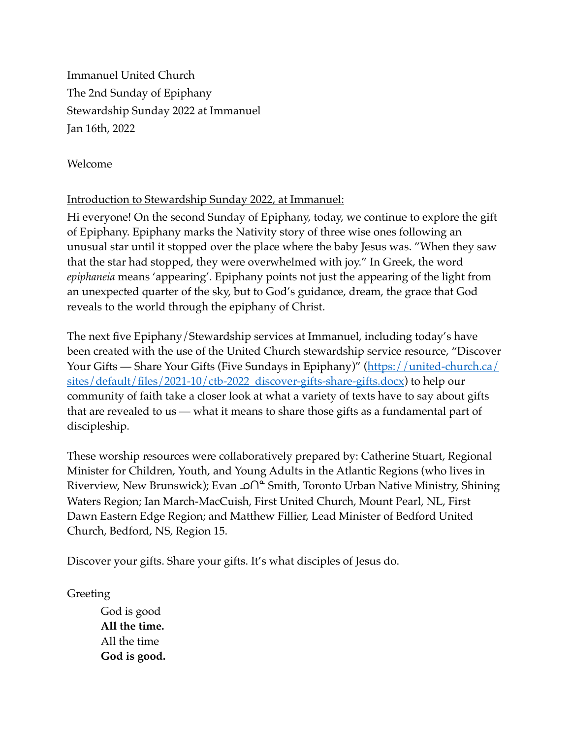Immanuel United Church The 2nd Sunday of Epiphany Stewardship Sunday 2022 at Immanuel Jan 16th, 2022

Welcome

# Introduction to Stewardship Sunday 2022, at Immanuel:

Hi everyone! On the second Sunday of Epiphany, today, we continue to explore the gift of Epiphany. Epiphany marks the Nativity story of three wise ones following an unusual star until it stopped over the place where the baby Jesus was. "When they saw that the star had stopped, they were overwhelmed with joy." In Greek, the word *epiphaneia* means 'appearing'. Epiphany points not just the appearing of the light from an unexpected quarter of the sky, but to God's guidance, dream, the grace that God reveals to the world through the epiphany of Christ.

The next five Epiphany/Stewardship services at Immanuel, including today's have been created with the use of the United Church stewardship service resource, "Discover [Your Gifts — Share Your Gifts \(Five Sundays in Epiphany\)" \(https://united-church.ca/](https://united-church.ca/sites/default/files/2021-10/ctb-2022_discover-gifts-share-gifts.docx) [sites/default/files/2021-10/ctb-2022\\_discover-gifts-share-gifts.docx\)](https://united-church.ca/sites/default/files/2021-10/ctb-2022_discover-gifts-share-gifts.docx) to help our community of faith take a closer look at what a variety of texts have to say about gifts that are revealed to us — what it means to share those gifts as a fundamental part of discipleship.

These worship resources were collaboratively prepared by: Catherine Stuart, Regional Minister for Children, Youth, and Young Adults in the Atlantic Regions (who lives in Riverview, New Brunswick); Evan ^^ Smith, Toronto Urban Native Ministry, Shining Waters Region; Ian March-MacCuish, First United Church, Mount Pearl, NL, First Dawn Eastern Edge Region; and Matthew Fillier, Lead Minister of Bedford United Church, Bedford, NS, Region 15.

Discover your gifts. Share your gifts. It's what disciples of Jesus do.

Greeting

God is good **All the time.** All the time **God is good.**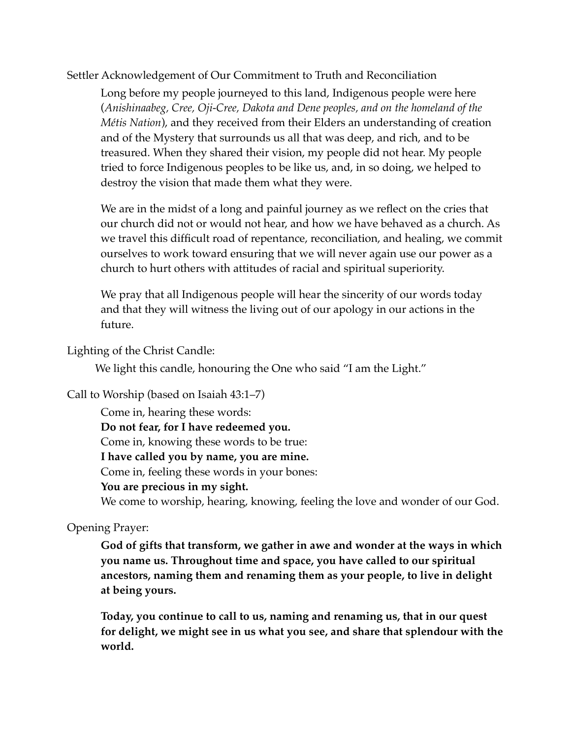Settler Acknowledgement of Our Commitment to Truth and Reconciliation

Long before my people journeyed to this land, Indigenous people were here (*Anishinaabeg, Cree, Oji-Cree, Dakota and Dene peoples, and on the homeland of the Métis Nation*), and they received from their Elders an understanding of creation and of the Mystery that surrounds us all that was deep, and rich, and to be treasured. When they shared their vision, my people did not hear. My people tried to force Indigenous peoples to be like us, and, in so doing, we helped to destroy the vision that made them what they were.

We are in the midst of a long and painful journey as we reflect on the cries that our church did not or would not hear, and how we have behaved as a church. As we travel this difficult road of repentance, reconciliation, and healing, we commit ourselves to work toward ensuring that we will never again use our power as a church to hurt others with attitudes of racial and spiritual superiority.

We pray that all Indigenous people will hear the sincerity of our words today and that they will witness the living out of our apology in our actions in the future.

Lighting of the Christ Candle:

We light this candle, honouring the One who said "I am the Light."

Call to Worship (based on Isaiah 43:1–7)

Come in, hearing these words:

**Do not fear, for I have redeemed you.**

Come in, knowing these words to be true:

**I have called you by name, you are mine.**

Come in, feeling these words in your bones:

**You are precious in my sight.**

We come to worship, hearing, knowing, feeling the love and wonder of our God.

Opening Prayer:

**God of gifts that transform, we gather in awe and wonder at the ways in which you name us. Throughout time and space, you have called to our spiritual ancestors, naming them and renaming them as your people, to live in delight at being yours.** 

**Today, you continue to call to us, naming and renaming us, that in our quest for delight, we might see in us what you see, and share that splendour with the world.**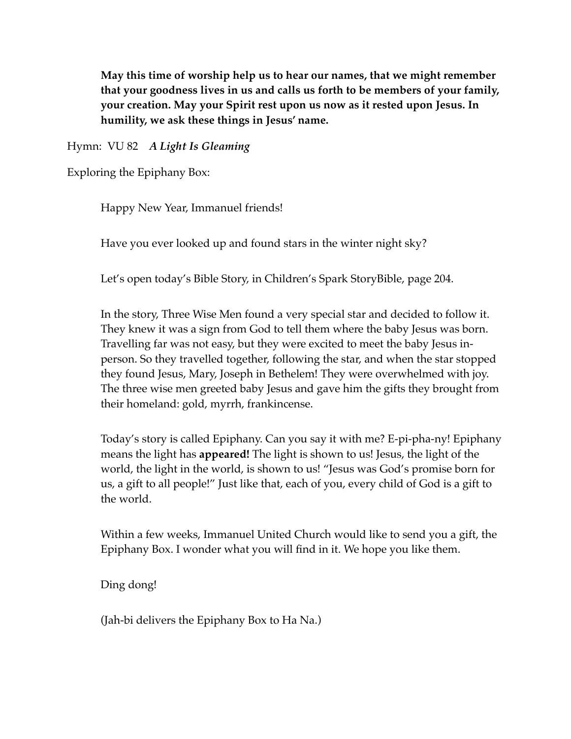**May this time of worship help us to hear our names, that we might remember that your goodness lives in us and calls us forth to be members of your family, your creation. May your Spirit rest upon us now as it rested upon Jesus. In humility, we ask these things in Jesus' name.**

Hymn: VU 82 *A Light Is Gleaming* 

Exploring the Epiphany Box:

Happy New Year, Immanuel friends!

Have you ever looked up and found stars in the winter night sky?

Let's open today's Bible Story, in Children's Spark StoryBible, page 204.

In the story, Three Wise Men found a very special star and decided to follow it. They knew it was a sign from God to tell them where the baby Jesus was born. Travelling far was not easy, but they were excited to meet the baby Jesus inperson. So they travelled together, following the star, and when the star stopped they found Jesus, Mary, Joseph in Bethelem! They were overwhelmed with joy. The three wise men greeted baby Jesus and gave him the gifts they brought from their homeland: gold, myrrh, frankincense.

Today's story is called Epiphany. Can you say it with me? E-pi-pha-ny! Epiphany means the light has **appeared!** The light is shown to us! Jesus, the light of the world, the light in the world, is shown to us! "Jesus was God's promise born for us, a gift to all people!" Just like that, each of you, every child of God is a gift to the world.

Within a few weeks, Immanuel United Church would like to send you a gift, the Epiphany Box. I wonder what you will find in it. We hope you like them.

Ding dong!

(Jah-bi delivers the Epiphany Box to Ha Na.)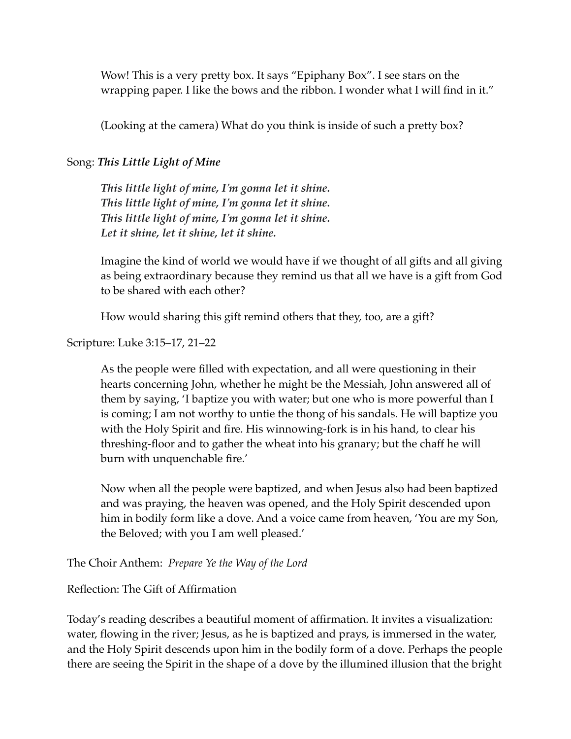Wow! This is a very pretty box. It says "Epiphany Box". I see stars on the wrapping paper. I like the bows and the ribbon. I wonder what I will find in it."

(Looking at the camera) What do you think is inside of such a pretty box?

## Song: *This Little Light of Mine*

*This little light of mine, I'm gonna let it shine. This little light of mine, I'm gonna let it shine. This little light of mine, I'm gonna let it shine. Let it shine, let it shine, let it shine.*

Imagine the kind of world we would have if we thought of all gifts and all giving as being extraordinary because they remind us that all we have is a gift from God to be shared with each other?

How would sharing this gift remind others that they, too, are a gift?

Scripture: Luke 3:15–17, 21–22

As the people were filled with expectation, and all were questioning in their hearts concerning John, whether he might be the Messiah, John answered all of them by saying, 'I baptize you with water; but one who is more powerful than I is coming; I am not worthy to untie the thong of his sandals. He will baptize you with the Holy Spirit and fire. His winnowing-fork is in his hand, to clear his threshing-floor and to gather the wheat into his granary; but the chaff he will burn with unquenchable fire.'

Now when all the people were baptized, and when Jesus also had been baptized and was praying, the heaven was opened, and the Holy Spirit descended upon him in bodily form like a dove. And a voice came from heaven, 'You are my Son, the Beloved; with you I am well pleased.'

The Choir Anthem: *Prepare Ye the Way of the Lord*

# Reflection: The Gift of Affirmation

Today's reading describes a beautiful moment of affirmation. It invites a visualization: water, flowing in the river; Jesus, as he is baptized and prays, is immersed in the water, and the Holy Spirit descends upon him in the bodily form of a dove. Perhaps the people there are seeing the Spirit in the shape of a dove by the illumined illusion that the bright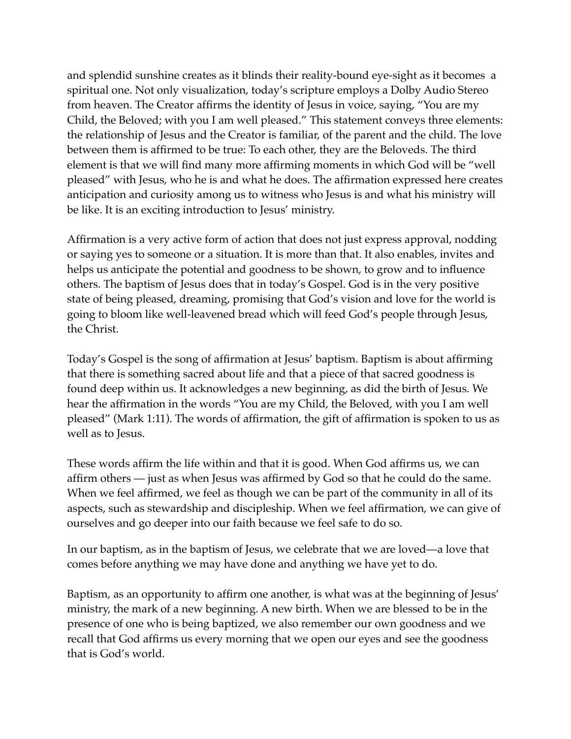and splendid sunshine creates as it blinds their reality-bound eye-sight as it becomes a spiritual one. Not only visualization, today's scripture employs a Dolby Audio Stereo from heaven. The Creator affirms the identity of Jesus in voice, saying, "You are my Child, the Beloved; with you I am well pleased." This statement conveys three elements: the relationship of Jesus and the Creator is familiar, of the parent and the child. The love between them is affirmed to be true: To each other, they are the Beloveds. The third element is that we will find many more affirming moments in which God will be "well pleased" with Jesus, who he is and what he does. The affirmation expressed here creates anticipation and curiosity among us to witness who Jesus is and what his ministry will be like. It is an exciting introduction to Jesus' ministry.

Affirmation is a very active form of action that does not just express approval, nodding or saying yes to someone or a situation. It is more than that. It also enables, invites and helps us anticipate the potential and goodness to be shown, to grow and to influence others. The baptism of Jesus does that in today's Gospel. God is in the very positive state of being pleased, dreaming, promising that God's vision and love for the world is going to bloom like well-leavened bread which will feed God's people through Jesus, the Christ.

Today's Gospel is the song of affirmation at Jesus' baptism. Baptism is about affirming that there is something sacred about life and that a piece of that sacred goodness is found deep within us. It acknowledges a new beginning, as did the birth of Jesus. We hear the affirmation in the words "You are my Child, the Beloved, with you I am well pleased" (Mark 1:11). The words of affirmation, the gift of affirmation is spoken to us as well as to Jesus.

These words affirm the life within and that it is good. When God affirms us, we can affirm others — just as when Jesus was affirmed by God so that he could do the same. When we feel affirmed, we feel as though we can be part of the community in all of its aspects, such as stewardship and discipleship. When we feel affirmation, we can give of ourselves and go deeper into our faith because we feel safe to do so.

In our baptism, as in the baptism of Jesus, we celebrate that we are loved—a love that comes before anything we may have done and anything we have yet to do.

Baptism, as an opportunity to affirm one another, is what was at the beginning of Jesus' ministry, the mark of a new beginning. A new birth. When we are blessed to be in the presence of one who is being baptized, we also remember our own goodness and we recall that God affirms us every morning that we open our eyes and see the goodness that is God's world.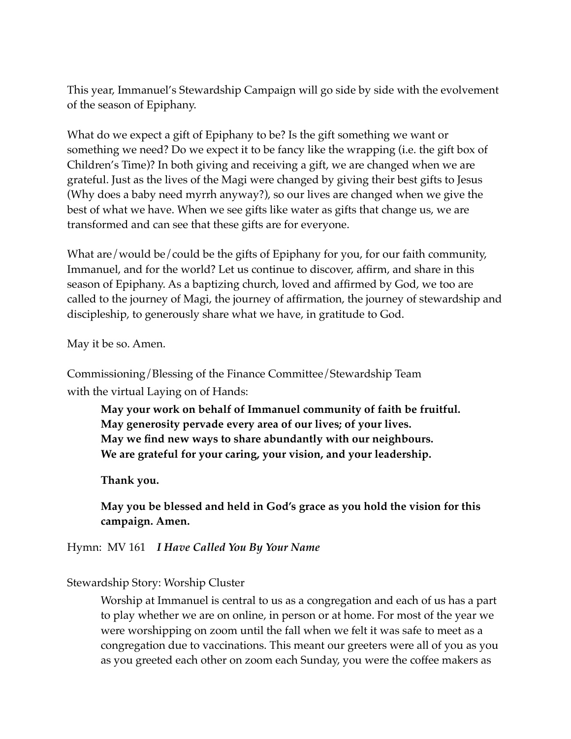This year, Immanuel's Stewardship Campaign will go side by side with the evolvement of the season of Epiphany.

What do we expect a gift of Epiphany to be? Is the gift something we want or something we need? Do we expect it to be fancy like the wrapping (i.e. the gift box of Children's Time)? In both giving and receiving a gift, we are changed when we are grateful. Just as the lives of the Magi were changed by giving their best gifts to Jesus (Why does a baby need myrrh anyway?), so our lives are changed when we give the best of what we have. When we see gifts like water as gifts that change us, we are transformed and can see that these gifts are for everyone.

What are/would be/could be the gifts of Epiphany for you, for our faith community, Immanuel, and for the world? Let us continue to discover, affirm, and share in this season of Epiphany. As a baptizing church, loved and affirmed by God, we too are called to the journey of Magi, the journey of affirmation, the journey of stewardship and discipleship, to generously share what we have, in gratitude to God.

May it be so. Amen.

Commissioning/Blessing of the Finance Committee/Stewardship Team with the virtual Laying on of Hands:

**May your work on behalf of Immanuel community of faith be fruitful. May generosity pervade every area of our lives; of your lives. May we find new ways to share abundantly with our neighbours. We are grateful for your caring, your vision, and your leadership.** 

**Thank you.** 

**May you be blessed and held in God's grace as you hold the vision for this campaign. Amen.**

Hymn: MV 161 *I Have Called You By Your Name* 

Stewardship Story: Worship Cluster

Worship at Immanuel is central to us as a congregation and each of us has a part to play whether we are on online, in person or at home. For most of the year we were worshipping on zoom until the fall when we felt it was safe to meet as a congregation due to vaccinations. This meant our greeters were all of you as you as you greeted each other on zoom each Sunday, you were the coffee makers as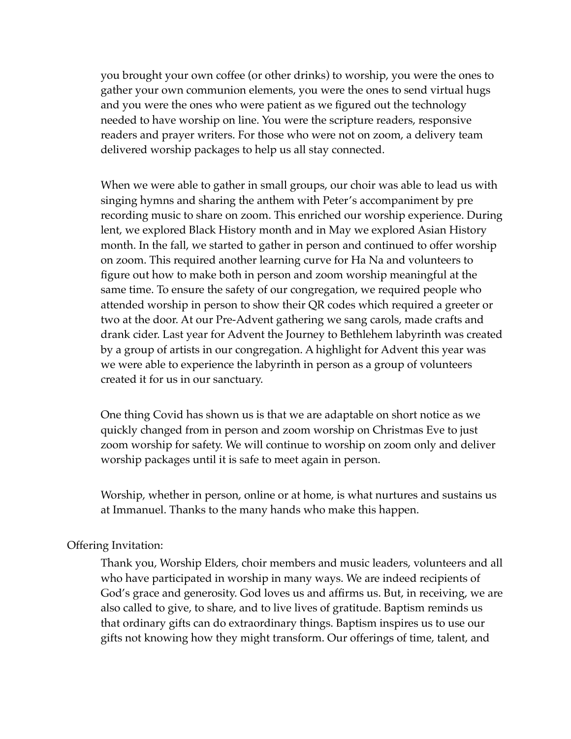you brought your own coffee (or other drinks) to worship, you were the ones to gather your own communion elements, you were the ones to send virtual hugs and you were the ones who were patient as we figured out the technology needed to have worship on line. You were the scripture readers, responsive readers and prayer writers. For those who were not on zoom, a delivery team delivered worship packages to help us all stay connected.

When we were able to gather in small groups, our choir was able to lead us with singing hymns and sharing the anthem with Peter's accompaniment by pre recording music to share on zoom. This enriched our worship experience. During lent, we explored Black History month and in May we explored Asian History month. In the fall, we started to gather in person and continued to offer worship on zoom. This required another learning curve for Ha Na and volunteers to figure out how to make both in person and zoom worship meaningful at the same time. To ensure the safety of our congregation, we required people who attended worship in person to show their QR codes which required a greeter or two at the door. At our Pre-Advent gathering we sang carols, made crafts and drank cider. Last year for Advent the Journey to Bethlehem labyrinth was created by a group of artists in our congregation. A highlight for Advent this year was we were able to experience the labyrinth in person as a group of volunteers created it for us in our sanctuary.

One thing Covid has shown us is that we are adaptable on short notice as we quickly changed from in person and zoom worship on Christmas Eve to just zoom worship for safety. We will continue to worship on zoom only and deliver worship packages until it is safe to meet again in person.

Worship, whether in person, online or at home, is what nurtures and sustains us at Immanuel. Thanks to the many hands who make this happen.

#### Offering Invitation:

Thank you, Worship Elders, choir members and music leaders, volunteers and all who have participated in worship in many ways. We are indeed recipients of God's grace and generosity. God loves us and affirms us. But, in receiving, we are also called to give, to share, and to live lives of gratitude. Baptism reminds us that ordinary gifts can do extraordinary things. Baptism inspires us to use our gifts not knowing how they might transform. Our offerings of time, talent, and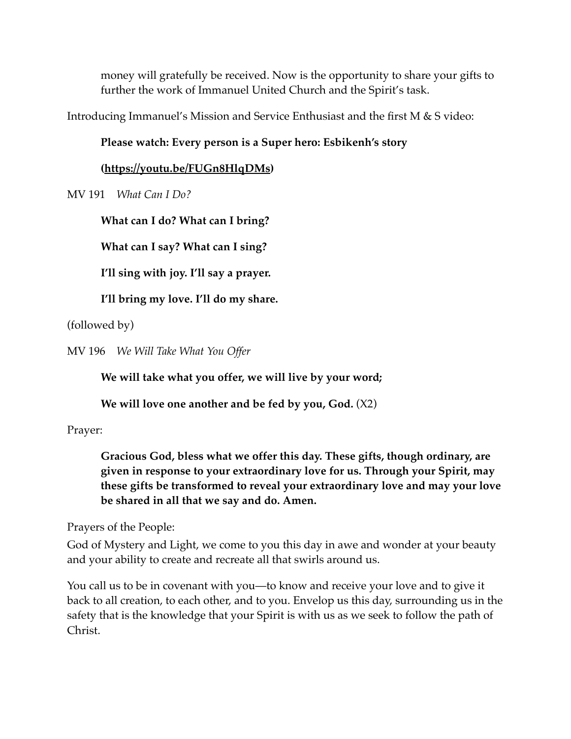money will gratefully be received. Now is the opportunity to share your gifts to further the work of Immanuel United Church and the Spirit's task.

Introducing Immanuel's Mission and Service Enthusiast and the first M & S video:

## **Please watch: Every person is a Super hero: Esbikenh's story**

### **([https://youtu.be/FUGn8HlqDMs\)](https://youtu.be/FUGn8HlqDMs)**

MV 191 *What Can I Do?* 

**What can I do? What can I bring?**

**What can I say? What can I sing?** 

**I'll sing with joy. I'll say a prayer.** 

**I'll bring my love. I'll do my share.** 

(followed by)

MV 196 *We Will Take What You Offer* 

**We will take what you offer, we will live by your word;**

**We will love one another and be fed by you, God.** (X2)

Prayer:

**Gracious God, bless what we offer this day. These gifts, though ordinary, are given in response to your extraordinary love for us. Through your Spirit, may these gifts be transformed to reveal your extraordinary love and may your love be shared in all that we say and do. Amen.** 

Prayers of the People:

God of Mystery and Light, we come to you this day in awe and wonder at your beauty and your ability to create and recreate all that swirls around us.

You call us to be in covenant with you—to know and receive your love and to give it back to all creation, to each other, and to you. Envelop us this day, surrounding us in the safety that is the knowledge that your Spirit is with us as we seek to follow the path of Christ.